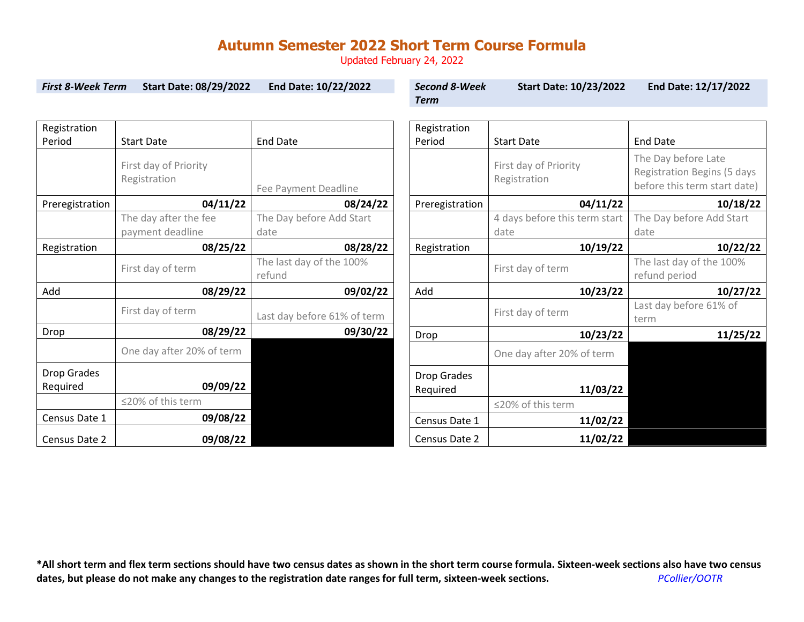Updated February 24, 2022

| <b>First 8-Week Term</b><br><b>Start Date: 08/29/2022</b> |                                       | End Date: 10/22/2022               | <b>Second 8-Week</b> | <b>Start Date: 10/23/2022</b>         | End Date: 12/17/2022                                      |  |
|-----------------------------------------------------------|---------------------------------------|------------------------------------|----------------------|---------------------------------------|-----------------------------------------------------------|--|
|                                                           |                                       |                                    | <b>Term</b>          |                                       |                                                           |  |
|                                                           |                                       |                                    |                      |                                       |                                                           |  |
| Registration                                              |                                       |                                    | Registration         |                                       |                                                           |  |
| Period                                                    | <b>Start Date</b>                     | <b>End Date</b>                    | Period               | <b>Start Date</b>                     | <b>End Date</b>                                           |  |
|                                                           | First day of Priority<br>Registration |                                    |                      | First day of Priority<br>Registration | The Day before Late<br><b>Registration Begins (5 days</b> |  |
|                                                           |                                       | Fee Payment Deadline               |                      |                                       | before this term start date)                              |  |
| Preregistration                                           | 04/11/22                              | 08/24/22                           | Preregistration      | 04/11/22                              | 10/18/22                                                  |  |
|                                                           | The day after the fee                 | The Day before Add Start           |                      | 4 days before this term start         | The Day before Add Start                                  |  |
|                                                           | payment deadline                      | date                               |                      | date                                  | date                                                      |  |
| Registration                                              | 08/25/22                              | 08/28/22                           | Registration         | 10/19/22                              | 10/22/22                                                  |  |
|                                                           | First day of term                     | The last day of the 100%<br>refund |                      | First day of term                     | The last day of the 100%<br>refund period                 |  |
| Add                                                       | 08/29/22                              | 09/02/22                           | Add                  | 10/23/22                              | 10/27/22                                                  |  |
|                                                           | First day of term                     | Last day before 61% of term        |                      | First day of term                     | Last day before 61% of<br>term                            |  |
| Drop                                                      | 08/29/22                              | 09/30/22                           | Drop                 | 10/23/22                              | 11/25/22                                                  |  |
|                                                           | One day after 20% of term             |                                    |                      | One day after 20% of term             |                                                           |  |
| Drop Grades                                               |                                       |                                    | <b>Drop Grades</b>   |                                       |                                                           |  |
| Required                                                  | 09/09/22                              |                                    | Required             | 11/03/22                              |                                                           |  |
|                                                           | ≤20% of this term                     |                                    |                      | ≤20% of this term                     |                                                           |  |
| Census Date 1                                             | 09/08/22                              |                                    | Census Date 1        | 11/02/22                              |                                                           |  |
| Census Date 2                                             | 09/08/22                              |                                    | Census Date 2        | 11/02/22                              |                                                           |  |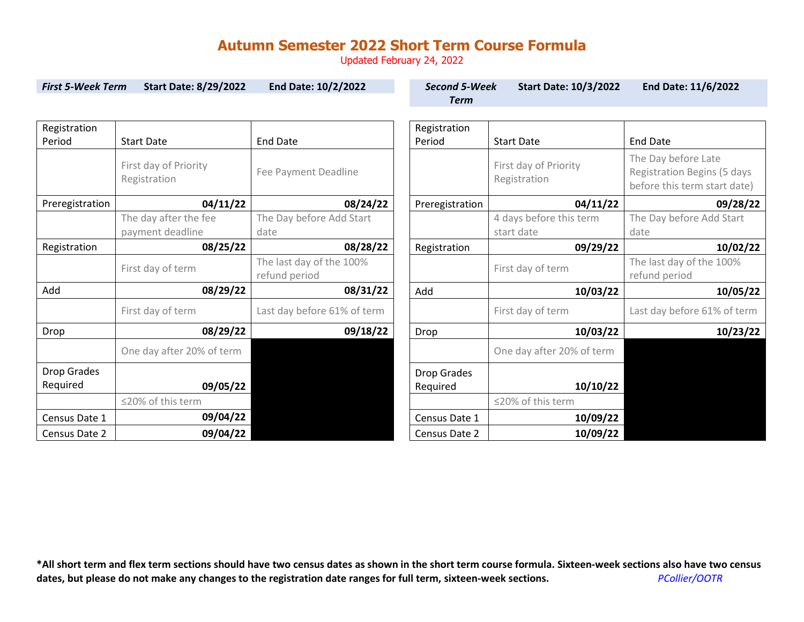Updated February 24, 2022

| <b>First 5-Week Term</b><br><b>Start Date: 8/29/2022</b> |                                           | End Date: 10/2/2022                       | <b>Second 5-Week</b><br><b>Term</b> | <b>Start Date: 10/3/2022</b>          | End Date: 11/6/2022                                                                       |  |
|----------------------------------------------------------|-------------------------------------------|-------------------------------------------|-------------------------------------|---------------------------------------|-------------------------------------------------------------------------------------------|--|
|                                                          |                                           |                                           |                                     |                                       |                                                                                           |  |
| Registration<br>Period                                   | <b>Start Date</b>                         | <b>End Date</b>                           | Registration<br>Period              | <b>Start Date</b>                     | <b>End Date</b>                                                                           |  |
|                                                          | First day of Priority<br>Registration     | Fee Payment Deadline                      |                                     | First day of Priority<br>Registration | The Day before Late<br><b>Registration Begins (5 days</b><br>before this term start date) |  |
| Preregistration                                          | 04/11/22                                  | 08/24/22                                  | Preregistration                     | 04/11/22                              | 09/28/22                                                                                  |  |
|                                                          | The day after the fee<br>payment deadline | The Day before Add Start<br>date          |                                     | 4 days before this term<br>start date | The Day before Add Start<br>date                                                          |  |
| Registration                                             | 08/25/22                                  | 08/28/22                                  | Registration                        | 09/29/22                              | 10/02/22                                                                                  |  |
|                                                          | First day of term                         | The last day of the 100%<br>refund period |                                     | First day of term                     | The last day of the 100%<br>refund period                                                 |  |
| Add                                                      | 08/29/22<br>08/31/22<br>Add               |                                           | 10/03/22                            | 10/05/22                              |                                                                                           |  |
|                                                          | First day of term                         | Last day before 61% of term               |                                     | First day of term                     | Last day before 61% of term                                                               |  |
| Drop                                                     | 08/29/22                                  | 09/18/22                                  | Drop                                | 10/03/22                              | 10/23/22                                                                                  |  |
|                                                          | One day after 20% of term                 |                                           |                                     | One day after 20% of term             |                                                                                           |  |
| Drop Grades<br>Required                                  | 09/05/22                                  |                                           | Drop Grades<br>Required             | 10/10/22                              |                                                                                           |  |
|                                                          | ≤20% of this term                         |                                           |                                     | ≤20% of this term                     |                                                                                           |  |
| Census Date 1                                            | 09/04/22                                  |                                           | Census Date 1                       | 10/09/22                              |                                                                                           |  |
| Census Date 2                                            | 09/04/22                                  |                                           | Census Date 2                       | 10/09/22                              |                                                                                           |  |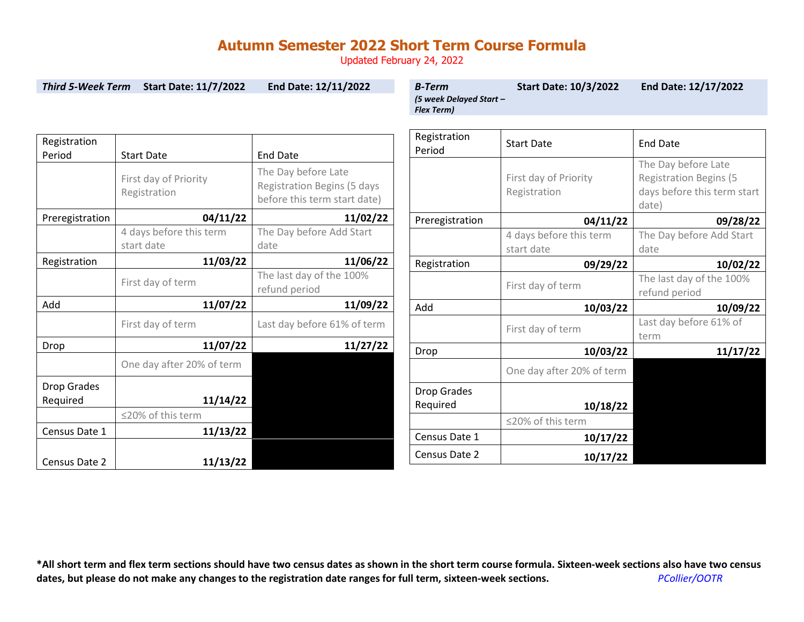Updated February 24, 2022

| <b>Third 5-Week Term</b>       | <b>Start Date: 11/7/2022</b>            | End Date: 12/11/2022                                                                      | <b>B-Term</b><br>(5 week Delayed Start -<br><b>Flex Term)</b> | <b>Start Date: 10/3/2022</b>          | End Date: 12/17/2022                                                                         |
|--------------------------------|-----------------------------------------|-------------------------------------------------------------------------------------------|---------------------------------------------------------------|---------------------------------------|----------------------------------------------------------------------------------------------|
| Registration<br>Period         | <b>Start Date</b>                       | <b>End Date</b>                                                                           | Registration<br>Period                                        | <b>Start Date</b>                     | <b>End Date</b>                                                                              |
|                                | First day of Priority<br>Registration   | The Day before Late<br><b>Registration Begins (5 days</b><br>before this term start date) |                                                               | First day of Priority<br>Registration | The Day before Late<br><b>Registration Begins (5</b><br>days before this term start<br>date) |
| Preregistration                | 04/11/22<br>11/02/22<br>Preregistration |                                                                                           | 04/11/22                                                      | 09/28/22                              |                                                                                              |
|                                | 4 days before this term<br>start date   | The Day before Add Start<br>date                                                          |                                                               | 4 days before this term<br>start date | The Day before Add Start<br>date                                                             |
| Registration                   | 11/03/22                                | 11/06/22                                                                                  | Registration                                                  | 09/29/22                              | 10/02/22                                                                                     |
|                                | First day of term                       | The last day of the 100%<br>refund period                                                 |                                                               | First day of term                     | The last day of the 100%<br>refund period                                                    |
| Add                            | 11/07/22                                | 11/09/22                                                                                  | Add                                                           | 10/03/22                              | 10/09/22                                                                                     |
|                                | First day of term                       | Last day before 61% of term                                                               |                                                               | First day of term                     | Last day before 61% of<br>term                                                               |
| Drop                           | 11/07/22                                | 11/27/22                                                                                  | Drop                                                          | 10/03/22                              | 11/17/22                                                                                     |
|                                | One day after 20% of term               |                                                                                           |                                                               | One day after 20% of term             |                                                                                              |
| <b>Drop Grades</b><br>Required | 11/14/22                                |                                                                                           | Drop Grades<br>Required                                       | 10/18/22                              |                                                                                              |
|                                | ≤20% of this term                       |                                                                                           |                                                               | ≤20% of this term                     |                                                                                              |
| Census Date 1                  | 11/13/22                                |                                                                                           | Census Date 1                                                 | 10/17/22                              |                                                                                              |
| Census Date 2                  | 11/13/22                                |                                                                                           | Census Date 2                                                 | 10/17/22                              |                                                                                              |